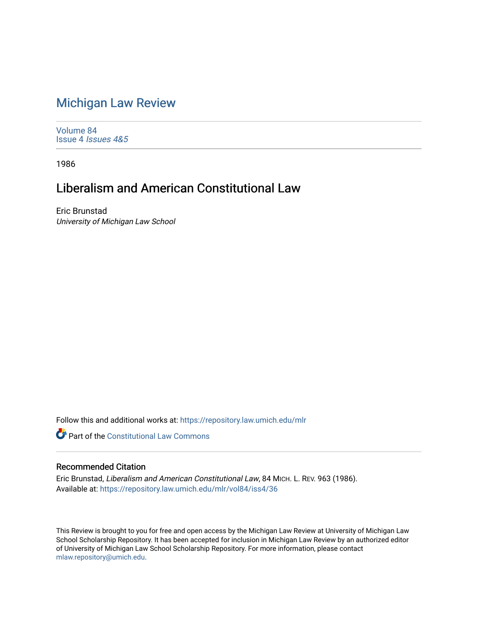## [Michigan Law Review](https://repository.law.umich.edu/mlr)

[Volume 84](https://repository.law.umich.edu/mlr/vol84) Issue 4 [Issues 4&5](https://repository.law.umich.edu/mlr/vol84/iss4) 

1986

## Liberalism and American Constitutional Law

Eric Brunstad University of Michigan Law School

Follow this and additional works at: [https://repository.law.umich.edu/mlr](https://repository.law.umich.edu/mlr?utm_source=repository.law.umich.edu%2Fmlr%2Fvol84%2Fiss4%2F36&utm_medium=PDF&utm_campaign=PDFCoverPages) 

**Part of the Constitutional Law Commons** 

## Recommended Citation

Eric Brunstad, Liberalism and American Constitutional Law, 84 MICH. L. REV. 963 (1986). Available at: [https://repository.law.umich.edu/mlr/vol84/iss4/36](https://repository.law.umich.edu/mlr/vol84/iss4/36?utm_source=repository.law.umich.edu%2Fmlr%2Fvol84%2Fiss4%2F36&utm_medium=PDF&utm_campaign=PDFCoverPages) 

This Review is brought to you for free and open access by the Michigan Law Review at University of Michigan Law School Scholarship Repository. It has been accepted for inclusion in Michigan Law Review by an authorized editor of University of Michigan Law School Scholarship Repository. For more information, please contact [mlaw.repository@umich.edu.](mailto:mlaw.repository@umich.edu)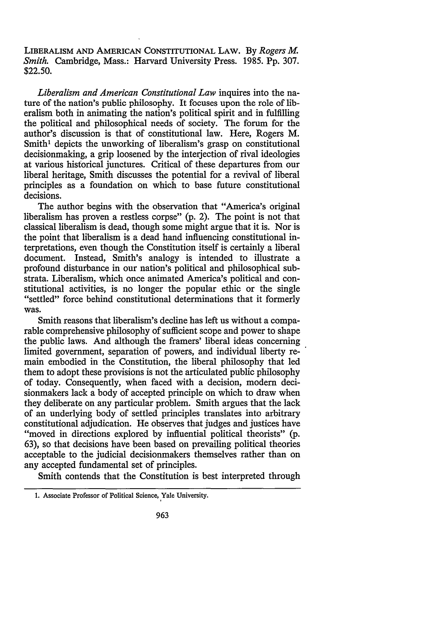LIBERALISM AND AMERICAN CONSTITUTIONAL LAW. By *Rogers* M. *Smith.* Cambridge, Mass.: Harvard University Press. 1985. Pp. 307. \$22.50.

*Liberalism and American Constitutional Law* inquires into the nature of the nation's public philosophy. It focuses upon the role of liberalism both in animating the nation's political spirit and in fulfilling the political and philosophical needs of society. The forum for the author's discussion is that of constitutional law. Here, Rogers M.  $Smith<sup>1</sup>$  depicts the unworking of liberalism's grasp on constitutional decisionmaking, a grip loosened by the interjection of rival ideologies at various historical junctures. Critical of these departures from our liberal heritage, Smith discusses the potential for a revival of liberal principles as a foundation on which to base future constitutional decisions.

The author begins with the observation that "America's original liberalism has proven a restless corpse" (p. 2). The point is not that classical liberalism is dead, though some might argue that it is. Nor is the point that liberalism is a dead hand influencing constitutional interpretations, even though the Constitution itself is certainly a liberal document. Instead, Smith's analogy is intended to illustrate a profound disturbance in our nation's political and philosophical substrata. Liberalism, which once animated America's political and constitutional activities, is no longer the popular ethic or the single "settled" force behind constitutional determinations that it formerly was.

Smith reasons that liberalism's decline has left us without a comparable comprehensive philosophy of sufficient scope and power to shape the public laws. And although the framers' liberal ideas concerning limited government, separation of powers, and individual liberty remain embodied in the Constitution, the liberal philosophy that led them to adopt these provisions is not the articulated public philosophy of today. Consequently, when faced with a decision, modern decisionmakers lack a body of accepted principle on which to draw when they deliberate on any particular problem. Smith argues that the lack of an underlying body of settled principles translates into arbitrary constitutional adjudication. He observes that judges and justices have "moved in directions explored by influential political theorists" (p. 63), so that decisions have been based on prevailing political theories acceptable to the judicial decisionmakers themselves rather than on any accepted fundamental set of principles.

Smith contends that the Constitution is best interpreted through

<sup>1.</sup> Associate Professor of Political Science, Yale University.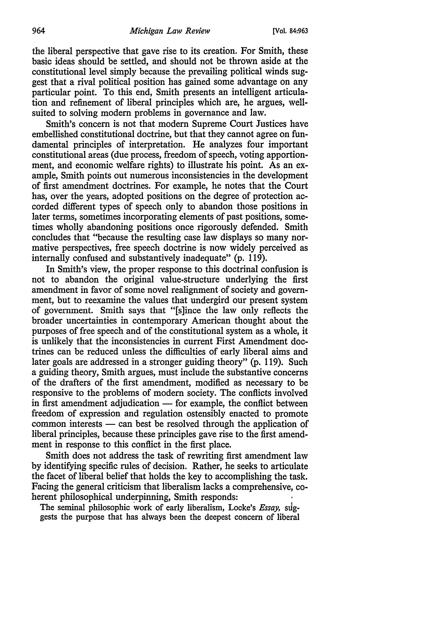the liberal perspective that gave rise to its creation. For Smith, these basic ideas should be settled, and should not be thrown aside at the constitutional level simply because the prevailing political winds suggest that a rival political position has gained some advantage on any particular point. To this end, Smith presents an intelligent articulation and refinement of liberal principles which are, he argues, wellsuited to solving modem problems in governance and law.

Smith's concern is not that modem Supreme Court Justices have embellished constitutional doctrine, but that they cannot agree on fundamental principles of interpretation. He analyzes four important constitutional areas (due process, freedom of speech, voting apportionment, and economic welfare rights) to illustrate his point. As an example, Smith points out numerous inconsistencies in the development of first amendment doctrines. For example, he notes that the Court has, over the years, adopted positions on the degree of protection accorded different types of speech only to abandon those positions in later terms, sometimes incorporating elements of past positions, sometimes wholly abandoning positions once rigorously defended. Smith concludes that "because the resulting case law displays so many normative perspectives, free speech doctrine is now widely perceived as internally confused and substantively inadequate" (p. 119).

In Smith's view, the proper response to this doctrinal confusion is not to abandon the original value-structure underlying the first amendment in favor of some novel realignment of society and government, but to reexamine the values that undergird our present system of government. Smith says that "[s]ince the law only reflects the broader uncertainties in contemporary American thought about the purposes of free speech and of the constitutional system as a whole, it is unlikely that the inconsistencies in current First Amendment doctrines can be reduced unless the difficulties of early liberal aims and later goals are addressed in a stronger guiding theory" (p. 119). Such a guiding theory, Smith argues, must include the substantive concerns of the drafters of the first amendment, modified as necessary to be responsive to the problems of modern society. The conflicts involved in first amendment adjudication  $-$  for example, the conflict between freedom of expression and regulation ostensibly enacted to promote common interests — can best be resolved through the application of liberal principles, because these principles gave rise to the first amendment in response to this conflict in the first place.

Smith does not address the task of rewriting first amendment law by identifying specific rules of decision. Rather, he seeks to articulate the facet of liberal belief that holds the key to accomplishing the task. Facing the general criticism that liberalism lacks a comprehensive, coherent philosophical underpinning, Smith responds:

The seminal philosophic work of early liberalism, Locke's *Essay*, suggests the purpose that has always been the deepest concern of liberal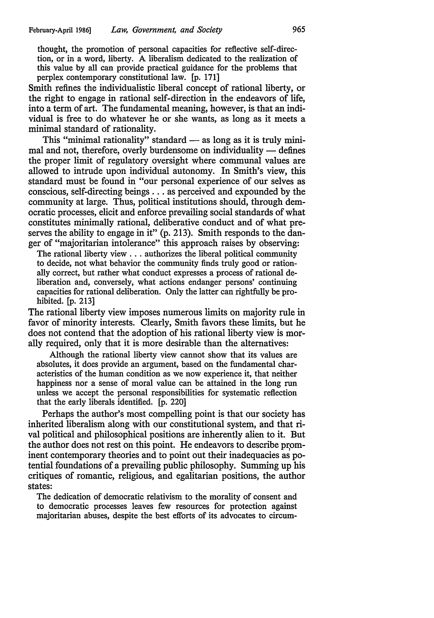thought, the promotion of personal capacities for reflective self-direction, or in a word, liberty. A liberalism dedicated to the realization of this value by all can provide practical guidance for the problems that perplex contemporary constitutional law. [p. 171]

Smith refines the individualistic liberal concept of rational liberty, or the right to engage in rational self-direction in the endeavors of life, into a term of art. The fundamental meaning, however, is that an individual is free to do whatever he or she wants, as long as it meets a minimal standard of rationality.

This "minimal rationality" standard  $-$  as long as it is truly mini $m$ al and not, therefore, overly burdensome on individuality  $-$  defines the proper limit of regulatory oversight where communal values are allowed to intrude upon individual autonomy. In Smith's view, this standard must be found in "our personal experience of our selves as conscious, self-directing beings ... as perceived and expounded by the community at large. Thus, political institutions should, through democratic processes, elicit and enforce prevailing social standards of what constitutes minimally rational, deliberative conduct and of what preserves the ability to engage in it" (p. 213). Smith responds to the danger of "majoritarian intolerance" this approach raises by observing:

The rational liberty view ... authorizes the liberal political community to decide, not what behavior the community finds truly good or rationally correct, but rather what conduct expresses a process of rational deliberation and, conversely, what actions endanger persons' continuing capacities for rational deliberation. Only the latter can rightfully be prohibited. [p. 213]

The rational liberty view imposes numerous limits on majority rule in favor of minority interests. Clearly, Smith favors these limits, but he does not contend that the adoption of his rational liberty view is morally required, only that it is more desirable than the alternatives:

Although the rational liberty view cannot show that its values are absolutes, it does provide an argument, based on the fundamental characteristics of the human condition as we now experience it, that neither happiness nor a sense of moral value can be attained in the long run unless we accept the personal responsibilities for systematic reflection that the early liberals identified. [p. 220]

Perhaps the author's most compelling point is that our society has inherited liberalism along with our constitutional system, and that rival political and philosophical positions are inherently alien to it. But the author does not rest on this point. He endeavors to describe prominent contemporary theories and to point out their inadequacies as potential foundations of a prevailing public philosophy. Summing up his critiques of romantic, religious, and egalitarian positions, the author states:

The dedication of democratic relativism to the morality of consent and to democratic processes leaves few resources for protection against majoritarian abuses, despite the best efforts of its advocates to circum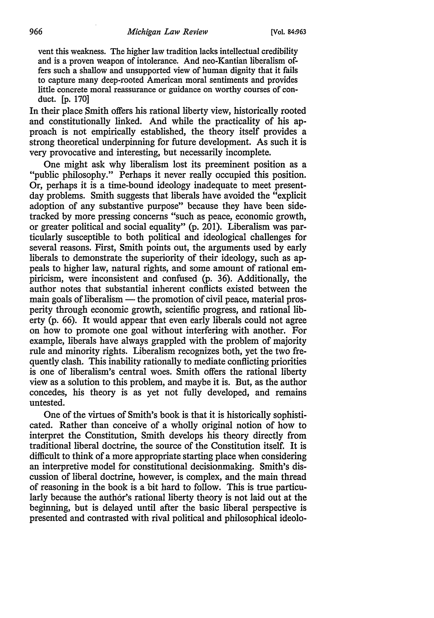vent this weakness. The higher law tradition lacks intellectual credibility and is a proven weapon of intolerance. And neo-Kantian liberalism offers such a shallow and unsupported view of human dignity that it fails to capture many deep-rooted American moral sentiments and provides little concrete moral reassurance or guidance on worthy courses of conduct. [p. 170]

In their place Smith offers his rational liberty view, historically rooted and constitutionally linked. And while the practicality of his approach is not empirically established, the theory itself provides a strong theoretical underpinning for future development. As such it is very provocative and interesting, but necessarily incomplete.

One might ask why liberalism lost its preeminent position as a "public philosophy." Perhaps it never really occupied this position. Or, perhaps it is a time-bound ideology inadequate to meet presentday problems. Smith suggests that liberals have avoided the "explicit adoption of any substantive purpose" because they have been sidetracked by more pressing concerns "such as peace, economic growth, or greater political and social equality" (p. 201). Liberalism was particularly susceptible to both political and ideological challenges for several reasons. First, Smith points out, the arguments used by early liberals to demonstrate the superiority of their ideology, such as appeals to higher law, natural rights, and some amount of rational empiricism, were inconsistent and confused (p. 36). Additionally, the author notes that substantial inherent conflicts existed between the main goals of liberalism — the promotion of civil peace, material prosperity through economic growth, scientific progress, and rational liberty (p. 66). It would appear that even early liberals could not agree on how to promote one goal without interfering with another. For example, liberals have always grappled with the problem of majority rule and minority rights. Liberalism recognizes both, yet the two frequently clash. This inability rationally to mediate conflicting priorities is one of liberalism's central woes. Smith offers the rational liberty view as a solution to this problem, and maybe it is. But, as the author concedes, his theory is as yet not fully developed, and remains untested.

One of the virtues of Smith's book is that it is historically sophisticated. Rather than conceive of a wholly original notion of how to interpret the Constitution, Smith develops his theory directly from traditional liberal doctrine, the source of the Constitution itself. It is difficult to think of a more appropriate starting place when considering an interpretive model for constitutional decisionmaking. Smith's discussion of liberal doctrine, however, is complex, and the main thread of reasoning in the book is a bit hard to follow. This is true particularly because the author's rational liberty theory is not laid out at the beginning, but is delayed until after the basic liberal perspective is presented and contrasted with rival political and philosophical ideolo